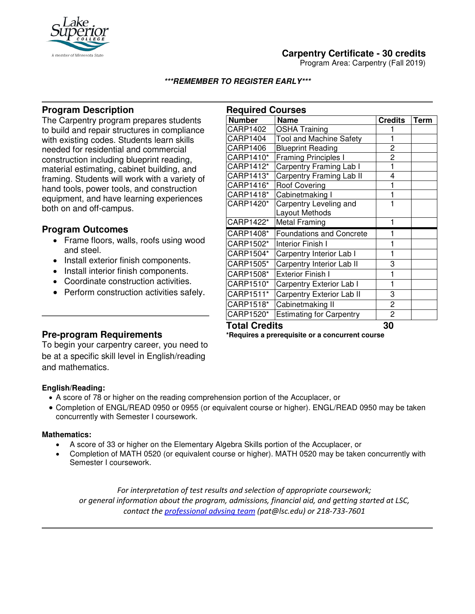

# **Carpentry Certificate - 30 credits**

Program Area: Carpentry (Fall 2019)

### **\*\*\*REMEMBER TO REGISTER EARLY\*\*\***

## **Program Description**

The Carpentry program prepares students to build and repair structures in compliance with existing codes. Students learn skills needed for residential and commercial construction including blueprint reading, material estimating, cabinet building, and framing. Students will work with a variety of hand tools, power tools, and construction equipment, and have learning experiences both on and off-campus.

## **Program Outcomes**

- Frame floors, walls, roofs using wood and steel.
- Install exterior finish components.
- Install interior finish components.
- Coordinate construction activities.
- Perform construction activities safely.

| <b>Required Courses</b> |                                 |                |      |
|-------------------------|---------------------------------|----------------|------|
| <b>Number</b>           | Name                            | <b>Credits</b> | Term |
| CARP1402                | <b>OSHA Training</b>            |                |      |
| CARP1404                | <b>Tool and Machine Safety</b>  | 1              |      |
| CARP1406                | <b>Blueprint Reading</b>        | 2              |      |
| CARP1410*               | <b>Framing Principles I</b>     | $\overline{2}$ |      |
| CARP1412*               | Carpentry Framing Lab I         | $\mathbf{1}$   |      |
| CARP1413*               | Carpentry Framing Lab II        | 4              |      |
| CARP1416*               | <b>Roof Covering</b>            | 1              |      |
| CARP1418*               | Cabinetmaking I                 | 1              |      |
| CARP1420*               | Carpentry Leveling and          | 1              |      |
|                         | Layout Methods                  |                |      |
| CARP1422*               | <b>Metal Framing</b>            | 1              |      |
| CARP1408*               | <b>Foundations and Concrete</b> | 1              |      |
| CARP1502*               | Interior Finish I               | 1              |      |
| CARP1504*               | Carpentry Interior Lab I        | 1              |      |
| CARP1505*               | Carpentry Interior Lab II       | 3              |      |
| CARP1508*               | <b>Exterior Finish I</b>        | 1              |      |
| CARP1510*               | Carpentry Exterior Lab I        | 1              |      |
| CARP1511*               | Carpentry Exterior Lab II       | 3              |      |
| CARP1518*               | Cabinetmaking II                | 2              |      |
| CARP1520*               | <b>Estimating for Carpentry</b> | $\overline{c}$ |      |
| <b>Total Credits</b>    |                                 | 30             |      |

**\*Requires a prerequisite or a concurrent course**

## **Pre-program Requirements**

To begin your carpentry career, you need to be at a specific skill level in English/reading and mathematics.

#### **English/Reading:**

- A score of 78 or higher on the reading comprehension portion of the Accuplacer, or
- Completion of ENGL/READ 0950 or 0955 (or equivalent course or higher). ENGL/READ 0950 may be taken concurrently with Semester I coursework.

#### **Mathematics:**

Ī

- A score of 33 or higher on the Elementary Algebra Skills portion of the Accuplacer, or
- Completion of MATH 0520 (or equivalent course or higher). MATH 0520 may be taken concurrently with Semester I coursework.

*For interpretation of test results and selection of appropriate coursework; or general information about the program, admissions, financial aid, and getting started at LSC, contact the [professional advsing team](mailto:pat@lsc.edu) (pat@lsc.edu) or 218-733-7601*